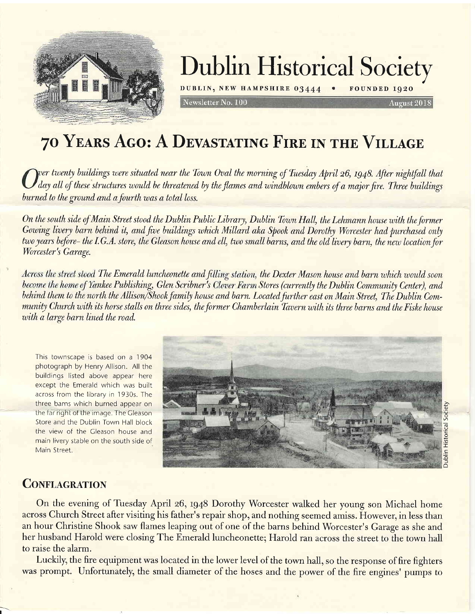

## Dublin Historical Society

DUBLIN, NEW HAMPSHIRE 03444 . FOUNDED 1920

August 2018

## 70 YEARS AGO: A DEVASTATING FIRE IN THE VILLAGE

Newsletter No. 100

wer twenty buildings were situated near the Town Oval the morning of Tuesday April 26, 1948. After nightfall that day all of these structures would be threatened by the flames and windblown embers of a major fire. Three buildings burned to the ground and a fourth was a total loss.

On the south side of Main Street stood the Dublin Public Library, Dublin Town Hall, the Lehmann house with the former Gowing livery barn behind it, and five buildings which Millard aka Spook and Dorothy Worcester had purchased only two years before- the I.G.A. store, the Gleason house and ell, two small barns, and the old livery barn, the new location for Worcester's Garage.

Across the street stood The Emerald luncheonette and filling station, the Dexter Mason house and barn which would soon become the home of Yankee Publishing, Glen Scribner's Clover Farm Stores (currently the Dublin Community Center), and behind them to the north the Allison/Shook family house and barn. Located further east on Main Street, The Dublin Community Church with its horse stalls on three sides, the former Chamberlain Tavern with its three barns and the Fiske house with a large barn lined the road.

This townscape is based on a 1904 photograph by Henry Allison. All the buildings listed above appear here except the Emerald which was built across from the library in 1930s. The three barns which burned appear on the far right of the image. The Gleason Store and the Dublin Town Hall block the view of the Cleason house and main livery stable on the south side of Main Street.



## **CONFLAGRATION**

I

On the evening of Tuesday April 26, tg48 Dorothy Worcester walked her young son Michael home across Church Street after visiting his father's repair shop, and nothing seemed amiss. However, in less than an hour Christine Shook saw flames leaping out of one of the barns behind Worcester's Garage as she and her husband Harold were closing The Emerald luncheonette; Harold ran across the street to the town hall to raise the alarm.

Luckily, the fire equipment was located in the lower level of the town hall, so the response of fire fighters was prompt. Unfortunately, the small diameter of the hoses and the power of the fire engines' pumps to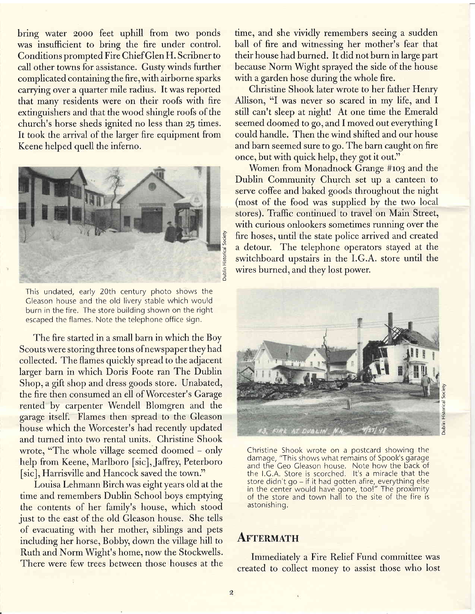bring water 2ooo feet uphill from two ponds was insufficient to bring the fire under control. Conditions prompted Fire ChiefGlen H. Scribner to call other towns for assistance. Gusty winds further complicated containing the fire,with airborne sparks carrying over a quarter mile radius. It was reported that many residents were on their roofs with fire extinguishers and that the wood shingle roofs of the church's horse sheds ignited no less than 2g times. It took the arrival of the larger fire equipment from Keene helped quell the inferno.



This undated, early 20th century photo shows the Cleason house and the old livery stable which would burn in the fire. The store building shown on the right escaped the flames. Note the telephone office sign.

The fire started in a small barn in which the Boy Scouts were storing three tons ofnewspaper they had collected. The flames quickly spread to the adjacent larger barn in which Doris Foote ran The Dublin Shop, a gift shop and dress goods store. Unabated, the fire then consumed an ell of Worcester's Garage rented by carpenter Wendell Blomgren and the garage itself. Flames then spread to the Gleason house which the Worcester's had recently updated and turned into two rental units. Christine Shook wrote, "The whole village seemed doomed - only help from Keene, Marlboro [sic], Jaffrey, Peterboro [sic], Harrisville and Hancock saved the town."

Louisa Lehmann Birch was eight years old at the time and remembers Dublin School boys emptying the contents of her family's house, which stood just to the east of the old Gleason house. She tells of evacuating with her mother, siblings and pets including her horse, Bobby, down the village hill to Ruth and Norm Wight's home, now the Stockwells. There were few trees between those houses at the time, and she vividly remembers seeing a sudden ball of fire and witnessing her mother's fear that their house had burned. It did not burn in large part because Norm Wight sprayed the side of the house with a garden hose during the whole fire.

Christine Shook later wrote to her father Henry Allison, "I was never so scared in my life, and I still can't sleep at night! At one time the Emerald seemed doomed to go, and I moved out everything I could handle. Then the wind shifted and our house and barn seemed sure to go. The barn caught on fire once, but with quick help, they got it out."

Women from Monadnock Grange #103 and the Dublin Community Church set up a canteen to serve coffee and baked goods throughout the night (most of the food was supplied by the two local stores). Traffic continued to travel on Main Street, with curious onlookers sometimes running over the fire hoses, until the state police arrived and created a detour. The telephone operators stayed at the switchboard upstairs in the I.G.A. store until the wires burned, and they lost power.



Christine Shook wrote on a postcard showing the damage, "This shows what remains of Spook's garage and the Geo Gleason house. Note how the back of the l.C.A. Store is scorched. lt's a miracle that the store didn't go – if it had gotten afire, everything else<br>in the center would have gone, too!" The proximity of the store and town hali to the site of the fire is astonishing.

### **AFTERMATH**

Immediately a Fire Relief Fund committee was created to collect money to assist those who lost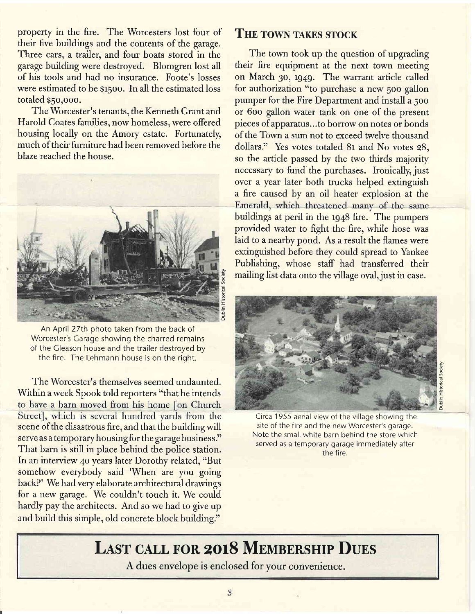property in the fire. The Worcesters lost four of their five buildings and the contents of the garage. Three cars, a trailer, and four boats stored in the garage building were destroyed. Blomgren lost all of his tools and had no insurance. Foote's losses were estimated to be g15oo. In all the estimated loss totaled \$5o,ooo.

The Worcester's tenants, the Kenneth Grant and Harold Coates families, now homeless, were offered housing locally on the Amory estate. Fortunately, much of their furniture had been removed before the blaze reached the house.



An April 27th photo taken from the back of Worcester's Carage showing the charred remains of the Cleason house and the trailer destroyed by the fire. The Lehmann house is on the riqht.

The Worcester's themselves seemed undaunted. Within a week Spook told reporters "that he intends<br>to have a barn moved from his home [on Church Street], which is several hundred yards from the scene of the disastrous fire, and that the building will serve as a temporary housing for the garage business." That barn is still in place behind the police station. In an interview 40 years later Dorothy related, "But somehow everybody said 'When are you going backP' We had very elaborate architectural drawings for a new garage. We couldn't touch it. We could hardly pay the architects. And so we had to give up and build this simple, old concrete block building."

### THE TOWN TAKES STOCK

The town took up the question of upgrading their fire equipment at the next town meeting on March 30, 1949. The warrant article called for authorization "to purchase a new 500 gallon pumper for the Fire Department and install a 5oo or 6oo gallon water tank on one of the present pieces of apparatus...to borrow on notes or bonds of the Town a sum not to exceed twelve thousand dollars." Yes votes totaled 81 and No votes 28, so the article passed by the two thirds majority necessary to fund the purchases. Ironically, just over a year later both trucks helped extinguish a fire caused by an oil heater explosion at the Emerald, which threatened many of the same buildings at peril in the 1948 fire. The pumpers provided water to fight the fire, while hose was laid to a nearby pond. As a result the flames were extinguished before they could spread to Yankee Publishing, whose staff had transferred their mailing list data onto the village oval, just in case.



b .q o

'- o .q=  $\vec{0}$ 

Circa 1 955 aerial view of the village showing the site of the fire and the new Worcester's garage. Note the small white barn behind the store which served as a temporary garage immediately after the fire.

## LAST CALL FOR 2018 MEMBERSHIP DUES

A dues envelope is enclosed for your convenience.